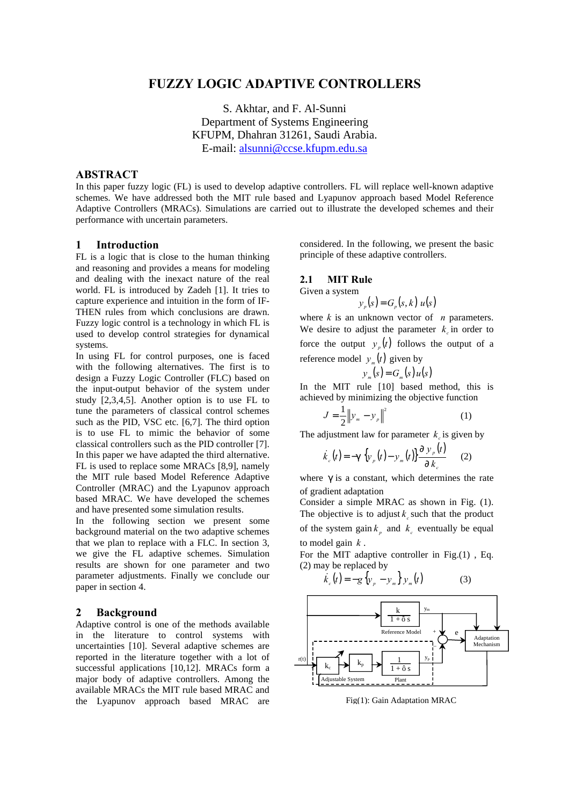# **FUZZY LOGIC ADAPTIVE CONTROLLERS**

S. Akhtar, and F. Al-Sunni Department of Systems Engineering KFUPM, Dhahran 31261, Saudi Arabia. E-mail: alsunni@ccse.kfupm.edu.sa

# **ABSTRACT**

In this paper fuzzy logic (FL) is used to develop adaptive controllers. FL will replace well-known adaptive schemes. We have addressed both the MIT rule based and Lyapunov approach based Model Reference Adaptive Controllers (MRACs). Simulations are carried out to illustrate the developed schemes and their performance with uncertain parameters.

# **1 Introduction**

FL is a logic that is close to the human thinking and reasoning and provides a means for modeling and dealing with the inexact nature of the real world. FL is introduced by Zadeh [1]. It tries to capture experience and intuition in the form of IF-THEN rules from which conclusions are drawn. Fuzzy logic control is a technology in which FL is used to develop control strategies for dynamical systems.

In using FL for control purposes, one is faced with the following alternatives. The first is to design a Fuzzy Logic Controller (FLC) based on the input-output behavior of the system under study [2,3,4,5]. Another option is to use FL to tune the parameters of classical control schemes such as the PID, VSC etc. [6,7]. The third option is to use FL to mimic the behavior of some classical controllers such as the PID controller [7]. In this paper we have adapted the third alternative. FL is used to replace some MRACs [8,9], namely the MIT rule based Model Reference Adaptive Controller (MRAC) and the Lyapunov approach based MRAC. We have developed the schemes and have presented some simulation results.

In the following section we present some background material on the two adaptive schemes that we plan to replace with a FLC. In section 3, we give the FL adaptive schemes. Simulation results are shown for one parameter and two parameter adjustments. Finally we conclude our paper in section 4.

### **2 Background**

Adaptive control is one of the methods available in the literature to control systems with uncertainties [10]. Several adaptive schemes are reported in the literature together with a lot of successful applications [10,12]. MRACs form a major body of adaptive controllers. Among the available MRACs the MIT rule based MRAC and the Lyapunov approach based MRAC are

considered. In the following, we present the basic principle of these adaptive controllers.

#### **2.1 MIT Rule**

Given a system

$$
y_p(s) = G_p(s, k) u(s)
$$

where *k* is an unknown vector of *n* parameters. We desire to adjust the parameter  $k_c$  in order to force the output  $y_p(t)$  follows the output of a reference model  $y_m(t)$  given by

$$
y_m(s) = G_m(s)u(s)
$$

In the MIT rule [10] based method, this is achieved by minimizing the objective function

$$
J = \frac{1}{2} \|y_m - y_p\|^2
$$
 (1)

The adjustment law for parameter  $k_c$  is given by

$$
\dot{k}_c(t) = -\mathbf{g} \left\{ y_p(t) - y_m(t) \right\} \frac{\partial y_p(t)}{\partial k_c}
$$
 (2)

where **g** is a constant, which determines the rate of gradient adaptation

Consider a simple MRAC as shown in Fig. (1). The objective is to adjust  $k_c$  such that the product of the system gain  $k_p$  and  $k_c$  eventually be equal to model gain *k* .

For the MIT adaptive controller in Fig.(1) , Eq. (2) may be replaced by

$$
\dot{k}_c(t) = -g \left\{ y_p - y_m \right\} y_m(t) \tag{3}
$$



Fig(1): Gain Adaptation MRAC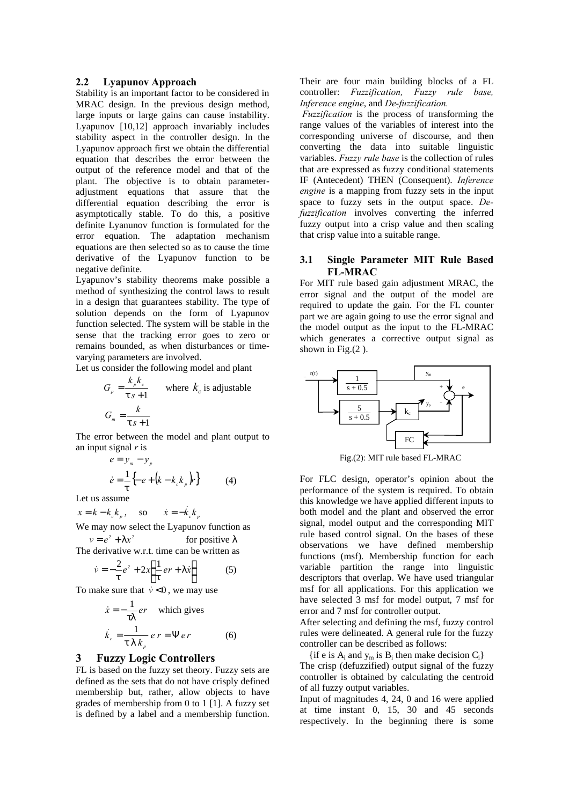#### **2.2 Lyapunov Approach**

Stability is an important factor to be considered in MRAC design. In the previous design method, large inputs or large gains can cause instability. Lyapunov [10,12] approach invariably includes stability aspect in the controller design. In the Lyapunov approach first we obtain the differential equation that describes the error between the output of the reference model and that of the plant. The objective is to obtain parameteradjustment equations that assure that the differential equation describing the error is asymptotically stable. To do this, a positive definite Lyanunov function is formulated for the error equation. The adaptation mechanism equations are then selected so as to cause the time derivative of the Lyapunov function to be negative definite.

Lyapunov's stability theorems make possible a method of synthesizing the control laws to result in a design that guarantees stability. The type of solution depends on the form of Lyapunov function selected. The system will be stable in the sense that the tracking error goes to zero or remains bounded, as when disturbances or timevarying parameters are involved.

Let us consider the following model and plant

$$
G_p = \frac{k_p k_c}{\mathbf{t} s + 1}
$$
 where  $k_c$  is adjustable  

$$
G_m = \frac{k}{\mathbf{t} s + 1}
$$

The error between the model and plant output to an input signal *r* is

$$
e = y_m - y_p
$$
  
\n
$$
\dot{e} = \frac{1}{t} \left\{ -e + \left(k - k_c k_p\right) r \right\}
$$
 (4)

Let us assume

 $x = k - k_c k_p$ , so  $\dot{x} = -\dot{k}_c k_p$ 

We may now select the Lyapunov function as

 $v = e^{2} + Ix^{2}$ *for positive* λ The derivative w.r.t. time can be written as

$$
\dot{v} = -\frac{2}{t}e^2 + 2x\left\{\frac{1}{t}er + I\dot{x}\right\} \tag{5}
$$

To make sure that  $\dot{v} < 0$ , we may use

$$
\dot{x} = -\frac{1}{tI}er \text{ which gives}
$$
  

$$
\dot{k}_c = \frac{1}{tI k_p} er = \Psi er \qquad (6)
$$

### **3 Fuzzy Logic Controllers**

FL is based on the fuzzy set theory. Fuzzy sets are defined as the sets that do not have crisply defined membership but, rather, allow objects to have grades of membership from 0 to 1 [1]. A fuzzy set is defined by a label and a membership function.

Their are four main building blocks of a FL controller: *Fuzzification, Fuzzy rule base, Inference engine*, and *De-fuzzification.*

 *Fuzzification* is the process of transforming the range values of the variables of interest into the corresponding universe of discourse, and then converting the data into suitable linguistic variables. *Fuzzy rule base* is the collection of rules that are expressed as fuzzy conditional statements IF (Antecedent) THEN (Consequent). *Inference engine* is a mapping from fuzzy sets in the input space to fuzzy sets in the output space. *Defuzzification* involves converting the inferred fuzzy output into a crisp value and then scaling that crisp value into a suitable range.

### **3.1 Single Parameter MIT Rule Based FL-MRAC**

For MIT rule based gain adjustment MRAC, the error signal and the output of the model are required to update the gain. For the FL counter part we are again going to use the error signal and the model output as the input to the FL-MRAC which generates a corrective output signal as shown in Fig. $(2)$ .



Fig.(2): MIT rule based FL-MRAC

For FLC design, operator's opinion about the performance of the system is required. To obtain this knowledge we have applied different inputs to both model and the plant and observed the error signal, model output and the corresponding MIT rule based control signal. On the bases of these observations we have defined membership functions (msf). Membership function for each variable partition the range into linguistic descriptors that overlap. We have used triangular msf for all applications. For this application we have selected 3 msf for model output, 7 msf for error and 7 msf for controller output.

After selecting and defining the msf, fuzzy control rules were delineated. A general rule for the fuzzy controller can be described as follows:

{if e is  $A_i$  and  $y_m$  is  $B_i$  then make decision  $C_i$ }

The crisp (defuzzified) output signal of the fuzzy controller is obtained by calculating the centroid of all fuzzy output variables.

Input of magnitudes 4, 24, 0 and 16 were applied at time instant 0, 15, 30 and 45 seconds respectively. In the beginning there is some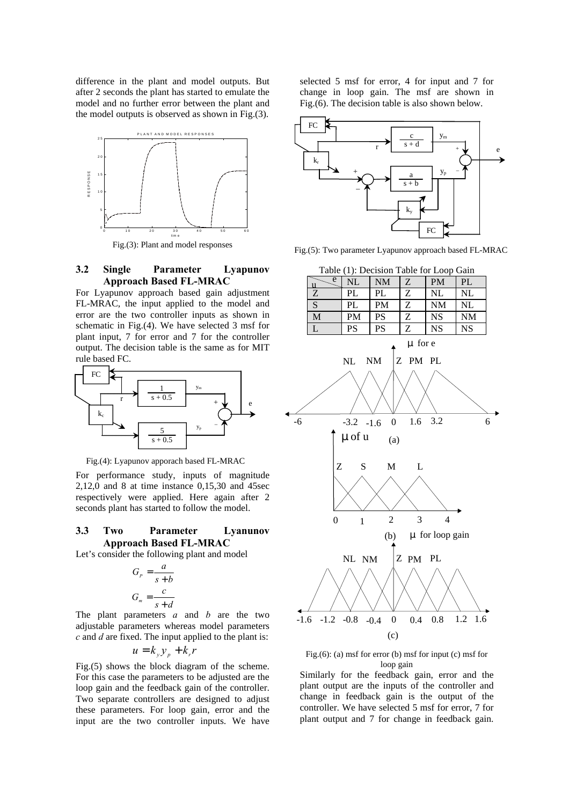difference in the plant and model outputs. But after 2 seconds the plant has started to emulate the model and no further error between the plant and the model outputs is observed as shown in Fig.(3).



### **3.2 Single Parameter Lyapunov Approach Based FL-MRAC**

For Lyapunov approach based gain adjustment FL-MRAC, the input applied to the model and error are the two controller inputs as shown in schematic in Fig.(4). We have selected 3 msf for plant input, 7 for error and 7 for the controller output. The decision table is the same as for MIT rule based FC.



Fig.(4): Lyapunov apporach based FL-MRAC

For performance study, inputs of magnitude 2,12,0 and 8 at time instance 0,15,30 and 45sec respectively were applied. Here again after 2 seconds plant has started to follow the model.

# **3.3 Two Parameter Lyanunov Approach Based FL-MRAC**

Let's consider the following plant and model

$$
G_p = \frac{a}{s+b}
$$

$$
G_m = \frac{c}{s+d}
$$

The plant parameters *a* and *b* are the two adjustable parameters whereas model parameters *c* and *d* are fixed. The input applied to the plant is:

$$
u = k_y y_p + k_r r
$$

Fig.(5) shows the block diagram of the scheme. For this case the parameters to be adjusted are the loop gain and the feedback gain of the controller. Two separate controllers are designed to adjust these parameters. For loop gain, error and the input are the two controller inputs. We have

selected 5 msf for error, 4 for input and 7 for change in loop gain. The msf are shown in Fig.(6). The decision table is also shown below.



Fig.(5): Two parameter Lyapunov approach based FL-MRAC

Table (1): Decision Table for Loop Gain

| Table (1). Decision Table for Loop Gain |    |           |   |           |           |  |  |  |
|-----------------------------------------|----|-----------|---|-----------|-----------|--|--|--|
| e                                       | NL | <b>NM</b> | Z | <b>PM</b> | PL        |  |  |  |
| Z                                       | PL | PL        | Z | NL        | NL        |  |  |  |
| S                                       | PL | <b>PM</b> | Z | <b>NM</b> | NL        |  |  |  |
| M                                       | PM | PS        | Z | <b>NS</b> | <b>NM</b> |  |  |  |
|                                         | PS | PS        | Z | NS.       | NS        |  |  |  |



Fig.(6): (a) msf for error (b) msf for input (c) msf for loop gain

Similarly for the feedback gain, error and the plant output are the inputs of the controller and change in feedback gain is the output of the controller. We have selected 5 msf for error, 7 for plant output and 7 for change in feedback gain.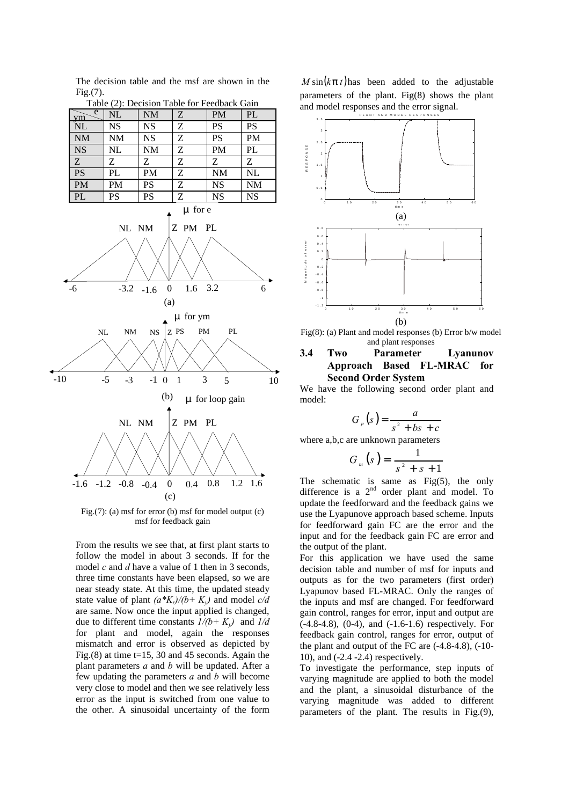The decision table and the msf are shown in the Fig.(7).

| $1$ able $(2)$ . Decision Table for Feedback Gain |           |           |   |           |           |  |  |  |
|---------------------------------------------------|-----------|-----------|---|-----------|-----------|--|--|--|
| e<br>vm                                           | NL        | <b>NM</b> | Z | <b>PM</b> | PL        |  |  |  |
| $\overline{\text{NL}}$                            | <b>NS</b> | <b>NS</b> | Ζ | PS        | PS        |  |  |  |
| NM                                                | <b>NM</b> | <b>NS</b> | Z | PS        | <b>PM</b> |  |  |  |
| <b>NS</b>                                         | <b>NL</b> | <b>NM</b> | Ζ | <b>PM</b> | PL        |  |  |  |
| $\ensuremath{\textnormal{Z}}$                     | Z         | Z         | Z | Z         | Ζ         |  |  |  |
| PS                                                | PL        | <b>PM</b> | Ζ | <b>NM</b> | <b>NL</b> |  |  |  |
|                                                   |           |           |   |           |           |  |  |  |
| PM                                                | PM        | PS        | Ζ | <b>NS</b> | <b>NM</b> |  |  |  |
| PL                                                | PS        | PS        | Ζ | <b>NS</b> | <b>NS</b> |  |  |  |

Table (2): Decision Table for Feedback Gain



Fig.(7): (a) msf for error (b) msf for model output (c) msf for feedback gain

From the results we see that, at first plant starts to follow the model in about 3 seconds. If for the model *c* and *d* have a value of 1 then in 3 seconds, three time constants have been elapsed, so we are near steady state. At this time, the updated steady state value of plant  $(a*K_r)/(b+K_v)$  and model  $c/d$ are same. Now once the input applied is changed, due to different time constants  $1/(b+K_v)$  and  $1/d$ for plant and model, again the responses mismatch and error is observed as depicted by Fig.(8) at time  $t=15$ , 30 and 45 seconds. Again the plant parameters *a* and *b* will be updated. After a few updating the parameters *a* and *b* will become very close to model and then we see relatively less error as the input is switched from one value to the other. A sinusoidal uncertainty of the form

 $M \sin(kp t)$  has been added to the adjustable parameters of the plant. Fig(8) shows the plant and model responses and the error signal.



Fig(8): (a) Plant and model responses (b) Error b/w model and plant responses

# **3.4 Two Parameter Lyanunov Approach Based FL-MRAC for Second Order System**

We have the following second order plant and model:

$$
G_p(s) = \frac{a}{s^2 + bs + c}
$$

where a,b,c are unknown parameters

$$
G_m(s) = \frac{1}{s^2 + s + 1}
$$

The schematic is same as  $Fig(5)$ , the only difference is a 2<sup>nd</sup> order plant and model. To update the feedforward and the feedback gains we use the Lyapunove approach based scheme. Inputs for feedforward gain FC are the error and the input and for the feedback gain FC are error and the output of the plant.

For this application we have used the same decision table and number of msf for inputs and outputs as for the two parameters (first order) Lyapunov based FL-MRAC. Only the ranges of the inputs and msf are changed. For feedforward gain control, ranges for error, input and output are (-4.8-4.8), (0-4), and (-1.6-1.6) respectively. For feedback gain control, ranges for error, output of the plant and output of the FC are (-4.8-4.8), (-10- 10), and (-2.4 -2.4) respectively.

To investigate the performance, step inputs of varying magnitude are applied to both the model and the plant, a sinusoidal disturbance of the varying magnitude was added to different parameters of the plant. The results in Fig.(9),